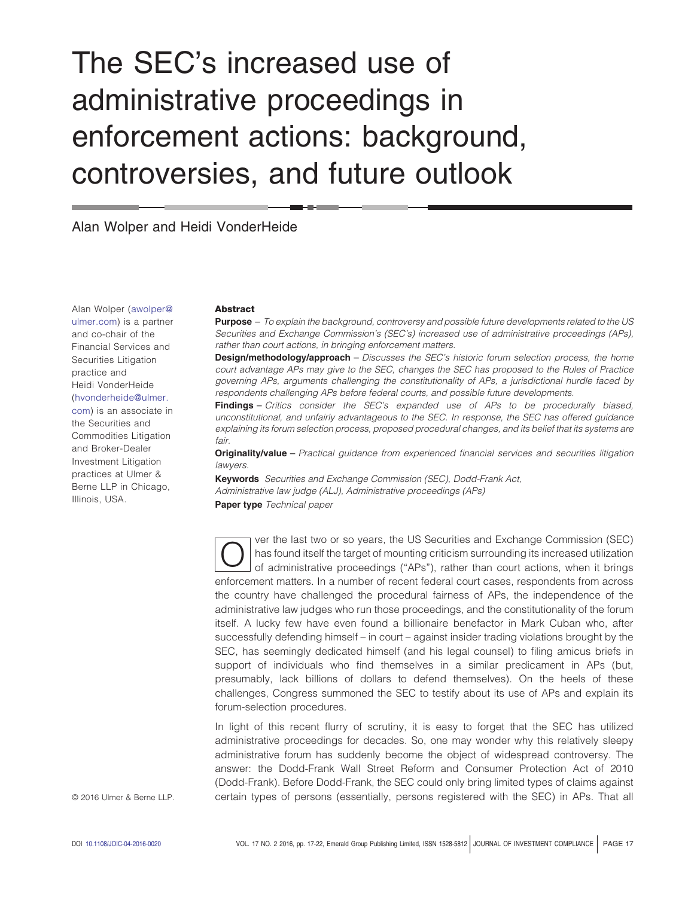# The SEC's increased use of administrative proceedings in enforcement actions: background, controversies, and future outlook

Alan Wolper and Heidi VonderHeide

Alan Wolper [\(awolper@](mailto:awolper@ulmer.com) [ulmer.com\)](mailto:awolper@ulmer.com) is a partner and co-chair of the Financial Services and Securities Litigation practice and Heidi VonderHeide [\(hvonderheide@ulmer.](mailto:hvonderheide@ulmer.com) [com\)](mailto:hvonderheide@ulmer.com) is an associate in

the Securities and Commodities Litigation and Broker-Dealer Investment Litigation practices at Ulmer & Berne LLP in Chicago, Illinois, USA.

**Abstract**

**Purpose** – *To explain the background, controversy and possible future developments related to the US Securities and Exchange Commission's (SEC's) increased use of administrative proceedings (APs), rather than court actions, in bringing enforcement matters.*

**Design/methodology/approach** – *Discusses the SEC's historic forum selection process, the home court advantage APs may give to the SEC, changes the SEC has proposed to the Rules of Practice governing APs, arguments challenging the constitutionality of APs, a jurisdictional hurdle faced by respondents challenging APs before federal courts, and possible future developments.*

**Findings** – *Critics consider the SEC's expanded use of APs to be procedurally biased, unconstitutional, and unfairly advantageous to the SEC. In response, the SEC has offered guidance explaining its forum selection process, proposed procedural changes, and its belief that its systems are fair.*

**Originality/value** – *Practical guidance from experienced financial services and securities litigation lawyers.*

**Keywords** *Securities and Exchange Commission (SEC), Dodd-Frank Act, Administrative law judge (ALJ), Administrative proceedings (APs)* **Paper type** *Technical paper*

The last two or so years, the US Securities and Exchange Commission (SEC)<br>has found itself the target of mounting criticism surrounding its increased utilization<br>of administrative proceedings ("APs"), rather than court act has found itself the target of mounting criticism surrounding its increased utilization of administrative proceedings ("APs"), rather than court actions, when it brings enforcement matters. In a number of recent federal court cases, respondents from across the country have challenged the procedural fairness of APs, the independence of the administrative law judges who run those proceedings, and the constitutionality of the forum itself. A lucky few have even found a billionaire benefactor in Mark Cuban who, after successfully defending himself – in court – against insider trading violations brought by the SEC, has seemingly dedicated himself (and his legal counsel) to filing amicus briefs in support of individuals who find themselves in a similar predicament in APs (but, presumably, lack billions of dollars to defend themselves). On the heels of these challenges, Congress summoned the SEC to testify about its use of APs and explain its forum-selection procedures.

In light of this recent flurry of scrutiny, it is easy to forget that the SEC has utilized administrative proceedings for decades. So, one may wonder why this relatively sleepy administrative forum has suddenly become the object of widespread controversy. The answer: the Dodd-Frank Wall Street Reform and Consumer Protection Act of 2010 (Dodd-Frank). Before Dodd-Frank, the SEC could only bring limited types of claims against © 2016 Ulmer & Berne LLP. certain types of persons (essentially, persons registered with the SEC) in APs. That all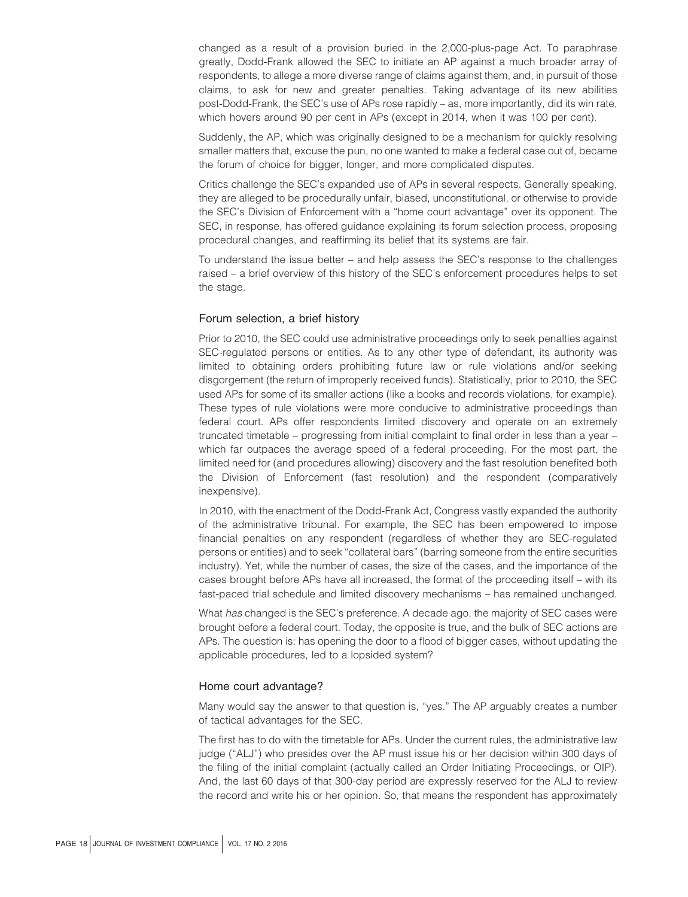changed as a result of a provision buried in the 2,000-plus-page Act. To paraphrase greatly, Dodd-Frank allowed the SEC to initiate an AP against a much broader array of respondents, to allege a more diverse range of claims against them, and, in pursuit of those claims, to ask for new and greater penalties. Taking advantage of its new abilities post-Dodd-Frank, the SEC's use of APs rose rapidly – as, more importantly, did its win rate, which hovers around 90 per cent in APs (except in 2014, when it was 100 per cent).

Suddenly, the AP, which was originally designed to be a mechanism for quickly resolving smaller matters that, excuse the pun, no one wanted to make a federal case out of, became the forum of choice for bigger, longer, and more complicated disputes.

Critics challenge the SEC's expanded use of APs in several respects. Generally speaking, they are alleged to be procedurally unfair, biased, unconstitutional, or otherwise to provide the SEC's Division of Enforcement with a "home court advantage" over its opponent. The SEC, in response, has offered guidance explaining its forum selection process, proposing procedural changes, and reaffirming its belief that its systems are fair.

To understand the issue better – and help assess the SEC's response to the challenges raised – a brief overview of this history of the SEC's enforcement procedures helps to set the stage.

#### Forum selection, a brief history

Prior to 2010, the SEC could use administrative proceedings only to seek penalties against SEC-regulated persons or entities. As to any other type of defendant, its authority was limited to obtaining orders prohibiting future law or rule violations and/or seeking disgorgement (the return of improperly received funds). Statistically, prior to 2010, the SEC used APs for some of its smaller actions (like a books and records violations, for example). These types of rule violations were more conducive to administrative proceedings than federal court. APs offer respondents limited discovery and operate on an extremely truncated timetable – progressing from initial complaint to final order in less than a year – which far outpaces the average speed of a federal proceeding. For the most part, the limited need for (and procedures allowing) discovery and the fast resolution benefited both the Division of Enforcement (fast resolution) and the respondent (comparatively inexpensive).

In 2010, with the enactment of the Dodd-Frank Act, Congress vastly expanded the authority of the administrative tribunal. For example, the SEC has been empowered to impose financial penalties on any respondent (regardless of whether they are SEC-regulated persons or entities) and to seek "collateral bars" (barring someone from the entire securities industry). Yet, while the number of cases, the size of the cases, and the importance of the cases brought before APs have all increased, the format of the proceeding itself – with its fast-paced trial schedule and limited discovery mechanisms – has remained unchanged.

What *has* changed is the SEC's preference. A decade ago, the majority of SEC cases were brought before a federal court. Today, the opposite is true, and the bulk of SEC actions are APs. The question is: has opening the door to a flood of bigger cases, without updating the applicable procedures, led to a lopsided system?

#### Home court advantage?

Many would say the answer to that question is, "yes." The AP arguably creates a number of tactical advantages for the SEC.

The first has to do with the timetable for APs. Under the current rules, the administrative law judge ("ALJ") who presides over the AP must issue his or her decision within 300 days of the filing of the initial complaint (actually called an Order Initiating Proceedings, or OIP). And, the last 60 days of that 300-day period are expressly reserved for the ALJ to review the record and write his or her opinion. So, that means the respondent has approximately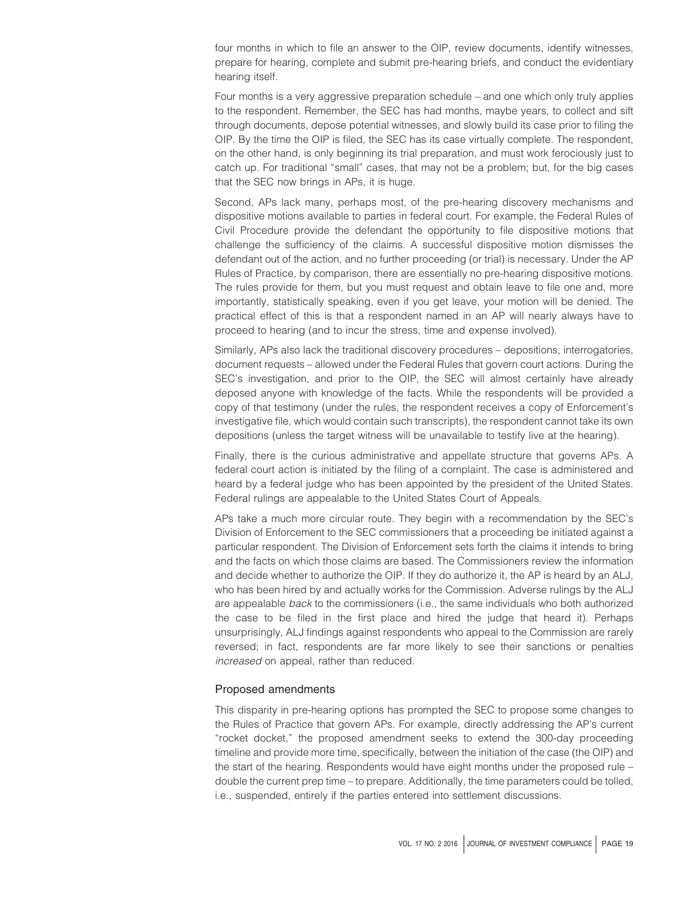four months in which to file an answer to the OIP, review documents, identify witnesses, prepare for hearing, complete and submit pre-hearing briefs, and conduct the evidentiary hearing itself.

Four months is a very aggressive preparation schedule – and one which only truly applies to the respondent. Remember, the SEC has had months, maybe years, to collect and sift through documents, depose potential witnesses, and slowly build its case prior to filing the OIP. By the time the OIP is filed, the SEC has its case virtually complete. The respondent, on the other hand, is only beginning its trial preparation, and must work ferociously just to catch up. For traditional "small" cases, that may not be a problem; but, for the big cases that the SEC now brings in APs, it is huge.

Second, APs lack many, perhaps most, of the pre-hearing discovery mechanisms and dispositive motions available to parties in federal court. For example, the Federal Rules of Civil Procedure provide the defendant the opportunity to file dispositive motions that challenge the sufficiency of the claims. A successful dispositive motion dismisses the defendant out of the action, and no further proceeding (or trial) is necessary. Under the AP Rules of Practice, by comparison, there are essentially no pre-hearing dispositive motions. The rules provide for them, but you must request and obtain leave to file one and, more importantly, statistically speaking, even if you get leave, your motion will be denied. The practical effect of this is that a respondent named in an AP will nearly always have to proceed to hearing (and to incur the stress, time and expense involved).

Similarly, APs also lack the traditional discovery procedures – depositions, interrogatories, document requests – allowed under the Federal Rules that govern court actions. During the SEC's investigation, and prior to the OIP, the SEC will almost certainly have already deposed anyone with knowledge of the facts. While the respondents will be provided a copy of that testimony (under the rules, the respondent receives a copy of Enforcement's investigative file, which would contain such transcripts), the respondent cannot take its own depositions (unless the target witness will be unavailable to testify live at the hearing).

Finally, there is the curious administrative and appellate structure that governs APs. A federal court action is initiated by the filing of a complaint. The case is administered and heard by a federal judge who has been appointed by the president of the United States. Federal rulings are appealable to the United States Court of Appeals.

APs take a much more circular route. They begin with a recommendation by the SEC's Division of Enforcement to the SEC commissioners that a proceeding be initiated against a particular respondent. The Division of Enforcement sets forth the claims it intends to bring and the facts on which those claims are based. The Commissioners review the information and decide whether to authorize the OIP. If they do authorize it, the AP is heard by an ALJ, who has been hired by and actually works for the Commission. Adverse rulings by the ALJ are appealable *back* to the commissioners (i.e., the same individuals who both authorized the case to be filed in the first place and hired the judge that heard it). Perhaps unsurprisingly, ALJ findings against respondents who appeal to the Commission are rarely reversed; in fact, respondents are far more likely to see their sanctions or penalties *increased* on appeal, rather than reduced.

#### Proposed amendments

This disparity in pre-hearing options has prompted the SEC to propose some changes to the Rules of Practice that govern APs. For example, directly addressing the AP's current "rocket docket," the proposed amendment seeks to extend the 300-day proceeding timeline and provide more time, specifically, between the initiation of the case (the OIP) and the start of the hearing. Respondents would have eight months under the proposed rule – double the current prep time – to prepare. Additionally, the time parameters could be tolled, i.e., suspended, entirely if the parties entered into settlement discussions.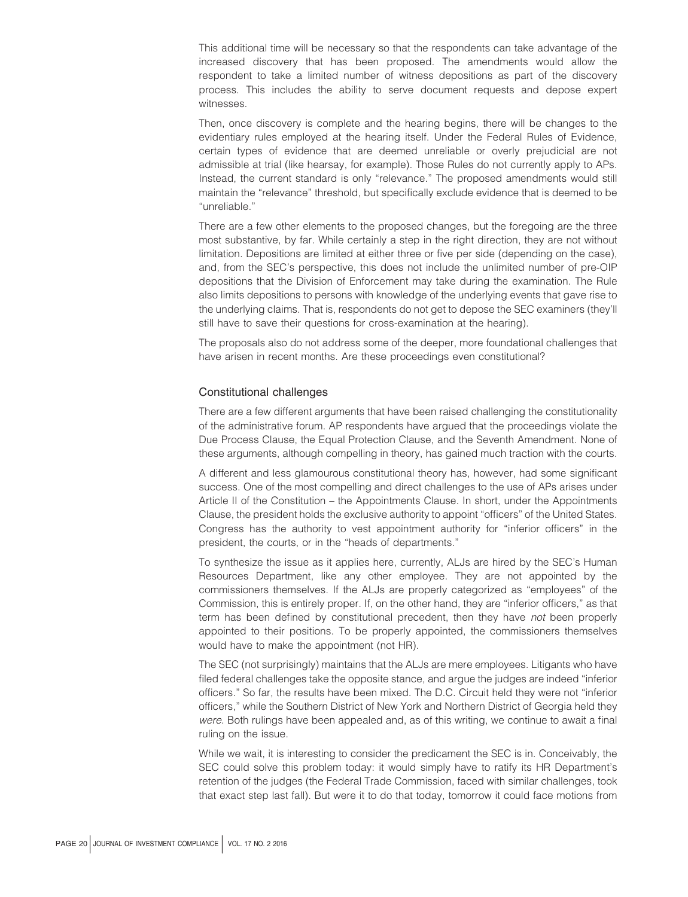This additional time will be necessary so that the respondents can take advantage of the increased discovery that has been proposed. The amendments would allow the respondent to take a limited number of witness depositions as part of the discovery process. This includes the ability to serve document requests and depose expert witnesses.

Then, once discovery is complete and the hearing begins, there will be changes to the evidentiary rules employed at the hearing itself. Under the Federal Rules of Evidence, certain types of evidence that are deemed unreliable or overly prejudicial are not admissible at trial (like hearsay, for example). Those Rules do not currently apply to APs. Instead, the current standard is only "relevance." The proposed amendments would still maintain the "relevance" threshold, but specifically exclude evidence that is deemed to be "unreliable."

There are a few other elements to the proposed changes, but the foregoing are the three most substantive, by far. While certainly a step in the right direction, they are not without limitation. Depositions are limited at either three or five per side (depending on the case), and, from the SEC's perspective, this does not include the unlimited number of pre-OIP depositions that the Division of Enforcement may take during the examination. The Rule also limits depositions to persons with knowledge of the underlying events that gave rise to the underlying claims. That is, respondents do not get to depose the SEC examiners (they'll still have to save their questions for cross-examination at the hearing).

The proposals also do not address some of the deeper, more foundational challenges that have arisen in recent months. Are these proceedings even constitutional?

### Constitutional challenges

There are a few different arguments that have been raised challenging the constitutionality of the administrative forum. AP respondents have argued that the proceedings violate the Due Process Clause, the Equal Protection Clause, and the Seventh Amendment. None of these arguments, although compelling in theory, has gained much traction with the courts.

A different and less glamourous constitutional theory has, however, had some significant success. One of the most compelling and direct challenges to the use of APs arises under Article II of the Constitution – the Appointments Clause. In short, under the Appointments Clause, the president holds the exclusive authority to appoint "officers" of the United States. Congress has the authority to vest appointment authority for "inferior officers" in the president, the courts, or in the "heads of departments."

To synthesize the issue as it applies here, currently, ALJs are hired by the SEC's Human Resources Department, like any other employee. They are not appointed by the commissioners themselves. If the ALJs are properly categorized as "employees" of the Commission, this is entirely proper. If, on the other hand, they are "inferior officers," as that term has been defined by constitutional precedent, then they have *not* been properly appointed to their positions. To be properly appointed, the commissioners themselves would have to make the appointment (not HR).

The SEC (not surprisingly) maintains that the ALJs are mere employees. Litigants who have filed federal challenges take the opposite stance, and argue the judges are indeed "inferior officers." So far, the results have been mixed. The D.C. Circuit held they were not "inferior officers," while the Southern District of New York and Northern District of Georgia held they *were*. Both rulings have been appealed and, as of this writing, we continue to await a final ruling on the issue.

While we wait, it is interesting to consider the predicament the SEC is in. Conceivably, the SEC could solve this problem today: it would simply have to ratify its HR Department's retention of the judges (the Federal Trade Commission, faced with similar challenges, took that exact step last fall). But were it to do that today, tomorrow it could face motions from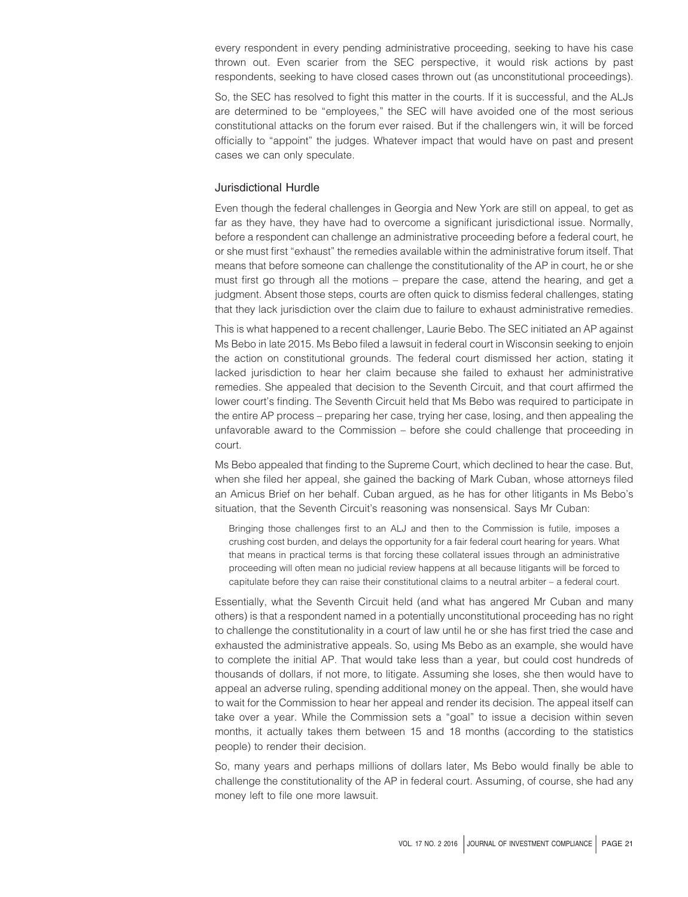every respondent in every pending administrative proceeding, seeking to have his case thrown out. Even scarier from the SEC perspective, it would risk actions by past respondents, seeking to have closed cases thrown out (as unconstitutional proceedings).

So, the SEC has resolved to fight this matter in the courts. If it is successful, and the ALJs are determined to be "employees," the SEC will have avoided one of the most serious constitutional attacks on the forum ever raised. But if the challengers win, it will be forced officially to "appoint" the judges. Whatever impact that would have on past and present cases we can only speculate.

### Jurisdictional Hurdle

Even though the federal challenges in Georgia and New York are still on appeal, to get as far as they have, they have had to overcome a significant jurisdictional issue. Normally, before a respondent can challenge an administrative proceeding before a federal court, he or she must first "exhaust" the remedies available within the administrative forum itself. That means that before someone can challenge the constitutionality of the AP in court, he or she must first go through all the motions – prepare the case, attend the hearing, and get a judgment. Absent those steps, courts are often quick to dismiss federal challenges, stating that they lack jurisdiction over the claim due to failure to exhaust administrative remedies.

This is what happened to a recent challenger, Laurie Bebo. The SEC initiated an AP against Ms Bebo in late 2015. Ms Bebo filed a lawsuit in federal court in Wisconsin seeking to enjoin the action on constitutional grounds. The federal court dismissed her action, stating it lacked jurisdiction to hear her claim because she failed to exhaust her administrative remedies. She appealed that decision to the Seventh Circuit, and that court affirmed the lower court's finding. The Seventh Circuit held that Ms Bebo was required to participate in the entire AP process – preparing her case, trying her case, losing, and then appealing the unfavorable award to the Commission – before she could challenge that proceeding in court.

Ms Bebo appealed that finding to the Supreme Court, which declined to hear the case. But, when she filed her appeal, she gained the backing of Mark Cuban, whose attorneys filed an Amicus Brief on her behalf. Cuban argued, as he has for other litigants in Ms Bebo's situation, that the Seventh Circuit's reasoning was nonsensical. Says Mr Cuban:

Bringing those challenges first to an ALJ and then to the Commission is futile, imposes a crushing cost burden, and delays the opportunity for a fair federal court hearing for years. What that means in practical terms is that forcing these collateral issues through an administrative proceeding will often mean no judicial review happens at all because litigants will be forced to capitulate before they can raise their constitutional claims to a neutral arbiter – a federal court.

Essentially, what the Seventh Circuit held (and what has angered Mr Cuban and many others) is that a respondent named in a potentially unconstitutional proceeding has no right to challenge the constitutionality in a court of law until he or she has first tried the case and exhausted the administrative appeals. So, using Ms Bebo as an example, she would have to complete the initial AP. That would take less than a year, but could cost hundreds of thousands of dollars, if not more, to litigate. Assuming she loses, she then would have to appeal an adverse ruling, spending additional money on the appeal. Then, she would have to wait for the Commission to hear her appeal and render its decision. The appeal itself can take over a year. While the Commission sets a "goal" to issue a decision within seven months, it actually takes them between 15 and 18 months (according to the statistics people) to render their decision.

So, many years and perhaps millions of dollars later, Ms Bebo would finally be able to challenge the constitutionality of the AP in federal court. Assuming, of course, she had any money left to file one more lawsuit.